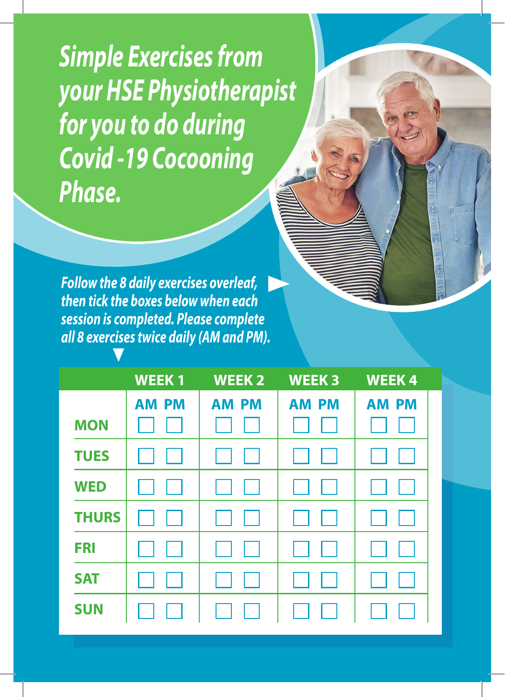*Simple Exercises from your HSE Physiotherapist for you to do during Covid -19 Cocooning Phase.*

*Follow the 8 daily exercises overleaf, then tick the boxes below when each session is completed. Please complete all 8 exercises twice daily (AM and PM).*

|              | <b>WEEK1</b> | <b>WEEK2</b> | <b>WEEK3</b> | <b>WEEK4</b> |
|--------------|--------------|--------------|--------------|--------------|
|              | <b>AM PM</b> | <b>AM PM</b> | <b>AM PM</b> | <b>AM PM</b> |
| <b>MON</b>   |              |              |              |              |
| <b>TUES</b>  |              |              |              |              |
| <b>WED</b>   |              |              |              |              |
| <b>THURS</b> |              |              |              |              |
| <b>FRI</b>   |              |              |              |              |
| <b>SAT</b>   |              |              |              |              |
| <b>SUN</b>   |              |              |              |              |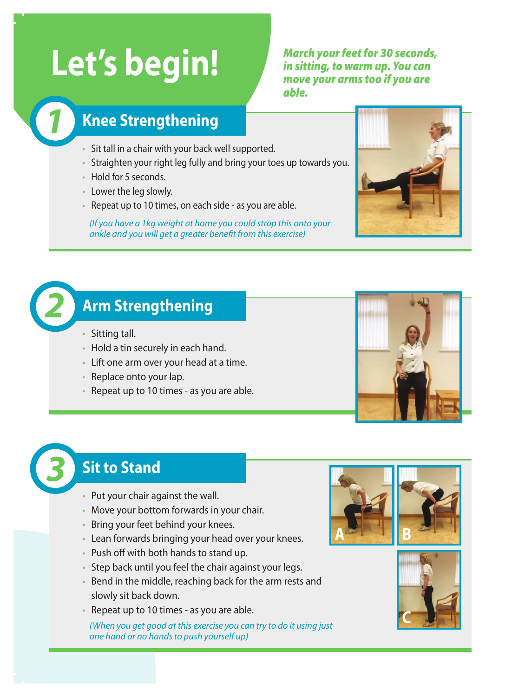# Let's begin!<br> **Let's begin!**

*in sitting, to warm up. You can move your arms too if you are able.*

#### *1* **Knee Strengthening**

- Sit tall in a chair with your back well supported.
- Straighten your right leg fully and bring your toes up towards you.
- Hold for 5 seconds.
- Lower the leg slowly.
- Repeat up to 10 times, on each side as you are able.

*(If you have a 1kg weight at home you could strap this onto your ankle and you will get a greater benefit from this exercise)*



#### *2* **Arm Strengthening**

- Sitting tall.
- Hold a tin securely in each hand.
- Lift one arm over your head at a time.
- Replace onto your lap.
- Repeat up to 10 times as you are able.

### *3* **Sit to Stand**

- Put your chair against the wall.
- Move your bottom forwards in your chair.
- Bring your feet behind your knees.
- Lean forwards bringing your head over your knees.
- Push off with both hands to stand up.
- Step back until you feel the chair against your legs.
- Bend in the middle, reaching back for the arm rests and slowly sit back down.
- Repeat up to 10 times as you are able.

*(When you get good at this exercise you can try to do it using just one hand or no hands to push yourself up)*



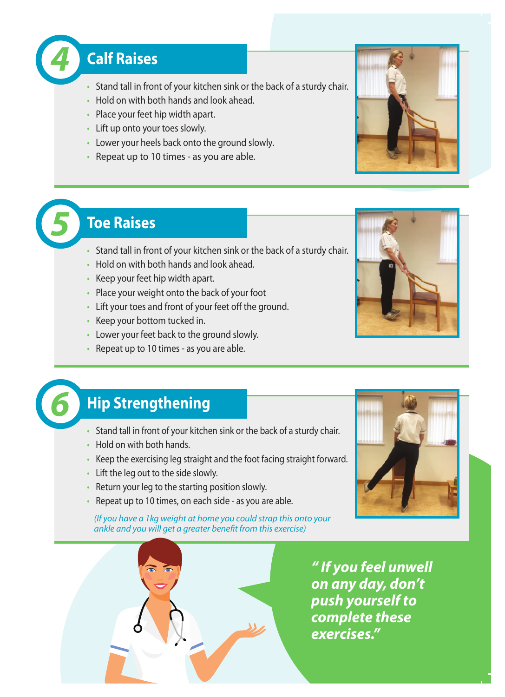

- Stand tall in front of your kitchen sink or the back of a sturdy chair.
- Hold on with both hands and look ahead.
- Place your feet hip width apart.
- Lift up onto your toes slowly.
- Lower your heels back onto the ground slowly.
- Repeat up to 10 times as you are able.

#### *5* **Toe Raises**

- Stand tall in front of your kitchen sink or the back of a sturdy chair.
- Hold on with both hands and look ahead.
- Keep your feet hip width apart.
- Place your weight onto the back of your foot
- Lift your toes and front of your feet off the ground.
- Keep your bottom tucked in.
- Lower your feet back to the ground slowly.
- Repeat up to 10 times as you are able.





## *6* **Hip Strengthening**

- Stand tall in front of your kitchen sink or the back of a sturdy chair.
- Hold on with both hands.
- Keep the exercising leg straight and the foot facing straight forward.
- Lift the leg out to the side slowly.
- Return your leg to the starting position slowly.
- Repeat up to 10 times, on each side as you are able.

*(If you have a 1kg weight at home you could strap this onto your ankle and you will get a greater benefit from this exercise)*





*exercises."*